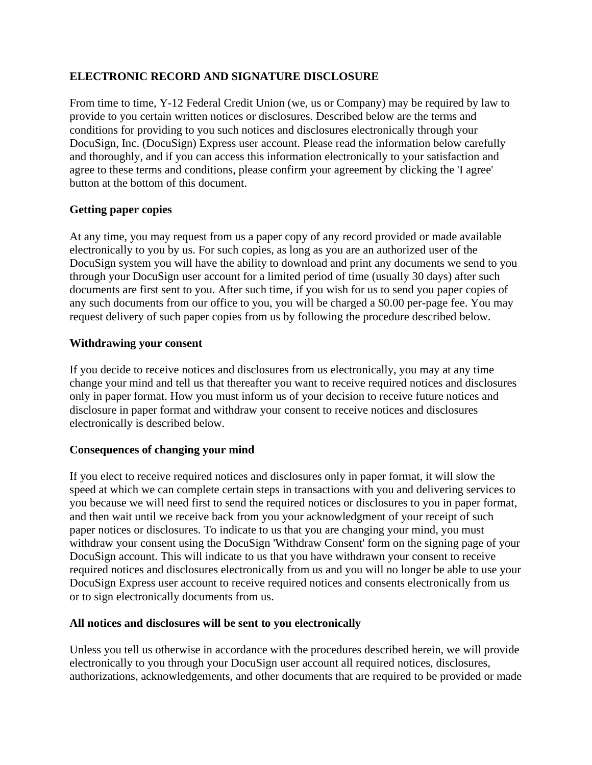## **ELECTRONIC RECORD AND SIGNATURE DISCLOSURE**

From time to time, Y-12 Federal Credit Union (we, us or Company) may be required by law to provide to you certain written notices or disclosures. Described below are the terms and conditions for providing to you such notices and disclosures electronically through your DocuSign, Inc. (DocuSign) Express user account. Please read the information below carefully and thoroughly, and if you can access this information electronically to your satisfaction and agree to these terms and conditions, please confirm your agreement by clicking the 'I agree' button at the bottom of this document.

## **Getting paper copies**

At any time, you may request from us a paper copy of any record provided or made available electronically to you by us. For such copies, as long as you are an authorized user of the DocuSign system you will have the ability to download and print any documents we send to you through your DocuSign user account for a limited period of time (usually 30 days) after such documents are first sent to you. After such time, if you wish for us to send you paper copies of any such documents from our office to you, you will be charged a \$0.00 per-page fee. You may request delivery of such paper copies from us by following the procedure described below.

## **Withdrawing your consent**

If you decide to receive notices and disclosures from us electronically, you may at any time change your mind and tell us that thereafter you want to receive required notices and disclosures only in paper format. How you must inform us of your decision to receive future notices and disclosure in paper format and withdraw your consent to receive notices and disclosures electronically is described below.

## **Consequences of changing your mind**

If you elect to receive required notices and disclosures only in paper format, it will slow the speed at which we can complete certain steps in transactions with you and delivering services to you because we will need first to send the required notices or disclosures to you in paper format, and then wait until we receive back from you your acknowledgment of your receipt of such paper notices or disclosures. To indicate to us that you are changing your mind, you must withdraw your consent using the DocuSign 'Withdraw Consent' form on the signing page of your DocuSign account. This will indicate to us that you have withdrawn your consent to receive required notices and disclosures electronically from us and you will no longer be able to use your DocuSign Express user account to receive required notices and consents electronically from us or to sign electronically documents from us.

## **All notices and disclosures will be sent to you electronically**

Unless you tell us otherwise in accordance with the procedures described herein, we will provide electronically to you through your DocuSign user account all required notices, disclosures, authorizations, acknowledgements, and other documents that are required to be provided or made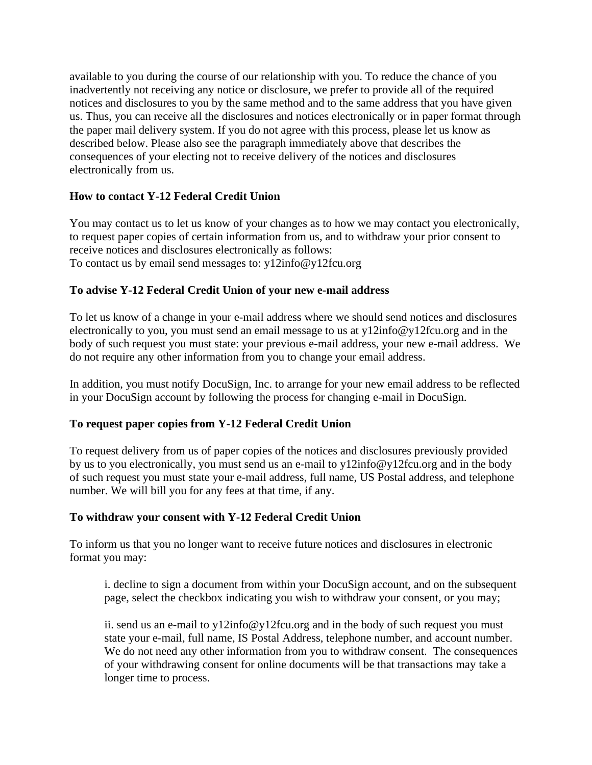available to you during the course of our relationship with you. To reduce the chance of you inadvertently not receiving any notice or disclosure, we prefer to provide all of the required notices and disclosures to you by the same method and to the same address that you have given us. Thus, you can receive all the disclosures and notices electronically or in paper format through the paper mail delivery system. If you do not agree with this process, please let us know as described below. Please also see the paragraph immediately above that describes the consequences of your electing not to receive delivery of the notices and disclosures electronically from us.

# **How to contact Y-12 Federal Credit Union**

You may contact us to let us know of your changes as to how we may contact you electronically, to request paper copies of certain information from us, and to withdraw your prior consent to receive notices and disclosures electronically as follows: To contact us by email send messages to: y12info@y12fcu.org

## **To advise Y-12 Federal Credit Union of your new e-mail address**

To let us know of a change in your e-mail address where we should send notices and disclosures electronically to you, you must send an email message to us at y12info@y12fcu.org and in the body of such request you must state: your previous e-mail address, your new e-mail address. We do not require any other information from you to change your email address.

In addition, you must notify DocuSign, Inc. to arrange for your new email address to be reflected in your DocuSign account by following the process for changing e-mail in DocuSign.

## **To request paper copies from Y-12 Federal Credit Union**

To request delivery from us of paper copies of the notices and disclosures previously provided by us to you electronically, you must send us an e-mail to y12info@y12fcu.org and in the body of such request you must state your e-mail address, full name, US Postal address, and telephone number. We will bill you for any fees at that time, if any.

#### **To withdraw your consent with Y-12 Federal Credit Union**

To inform us that you no longer want to receive future notices and disclosures in electronic format you may:

i. decline to sign a document from within your DocuSign account, and on the subsequent page, select the checkbox indicating you wish to withdraw your consent, or you may;

ii. send us an e-mail to y12info@y12fcu.org and in the body of such request you must state your e-mail, full name, IS Postal Address, telephone number, and account number. We do not need any other information from you to withdraw consent. The consequences of your withdrawing consent for online documents will be that transactions may take a longer time to process.